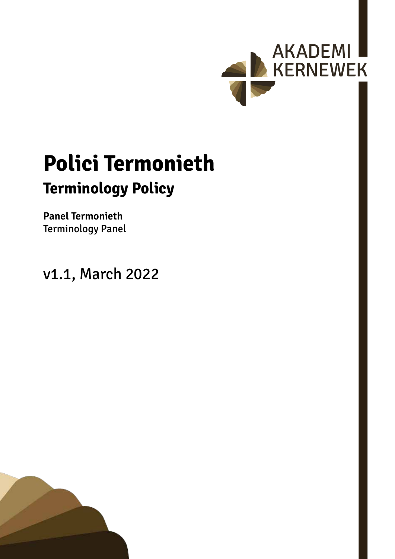

# **Polici Termonieth Terminology Policy**

### **Panel Termonieth** Terminology Panel

v1.1, March 2022

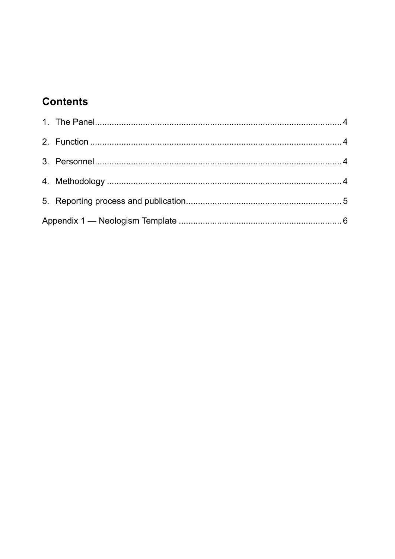## **Contents**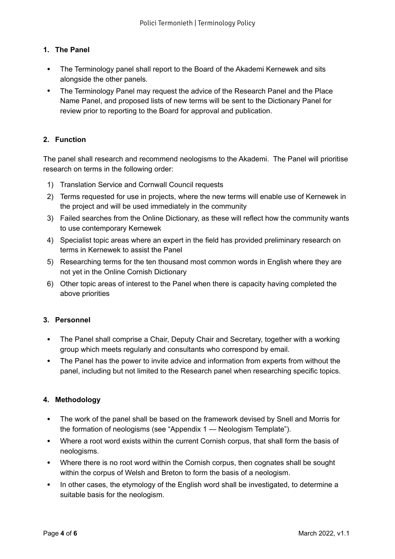#### <span id="page-3-0"></span>**1. The Panel**

- The Terminology panel shall report to the Board of the Akademi Kernewek and sits alongside the other panels.
- The Terminology Panel may request the advice of the Research Panel and the Place Name Panel, and proposed lists of new terms will be sent to the Dictionary Panel for review prior to reporting to the Board for approval and publication.

#### **2. Function**

The panel shall research and recommend neologisms to the Akademi. The Panel will prioritise research on terms in the following order:

- 1) Translation Service and Cornwall Council requests
- 2) Terms requested for use in projects, where the new terms will enable use of Kernewek in the project and will be used immediately in the community
- 3) Failed searches from the Online Dictionary, as these will reflect how the community wants to use contemporary Kernewek
- 4) Specialist topic areas where an expert in the field has provided preliminary research on terms in Kernewek to assist the Panel
- 5) Researching terms for the ten thousand most common words in English where they are not yet in the Online Cornish Dictionary
- 6) Other topic areas of interest to the Panel when there is capacity having completed the above priorities

#### **3. Personnel**

- The Panel shall comprise a Chair, Deputy Chair and Secretary, together with a working group which meets regularly and consultants who correspond by email.
- The Panel has the power to invite advice and information from experts from without the panel, including but not limited to the Research panel when researching specific topics.

#### **4. Methodology**

- The work of the panel shall be based on the framework devised by Snell and Morris for the formation of neologisms (see ["Appendix 1 — Neologism Template"](#page-5-1)).
- Where a root word exists within the current Cornish corpus, that shall form the basis of neologisms.
- Where there is no root word within the Cornish corpus, then cognates shall be sought within the corpus of Welsh and Breton to form the basis of a neologism.
- In other cases, the etymology of the English word shall be investigated, to determine a suitable basis for the neologism.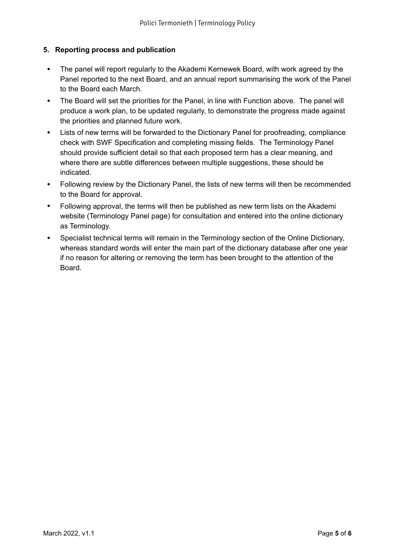#### <span id="page-4-0"></span>**5. Reporting process and publication**

- The panel will report regularly to the Akademi Kernewek Board, with work agreed by the Panel reported to the next Board, and an annual report summarising the work of the Panel to the Board each March.
- The Board will set the priorities for the Panel, in line with Function above. The panel will produce a work plan, to be updated regularly, to demonstrate the progress made against the priorities and planned future work.
- Lists of new terms will be forwarded to the Dictionary Panel for proofreading, compliance check with SWF Specification and completing missing fields. The Terminology Panel should provide sufficient detail so that each proposed term has a clear meaning, and where there are subtle differences between multiple suggestions, these should be indicated.
- Following review by the Dictionary Panel, the lists of new terms will then be recommended to the Board for approval.
- Following approval, the terms will then be published as new term lists on the Akademi website (Terminology Panel page) for consultation and entered into the online dictionary as Terminology.
- Specialist technical terms will remain in the Terminology section of the Online Dictionary, whereas standard words will enter the main part of the dictionary database after one year if no reason for altering or removing the term has been brought to the attention of the Board.